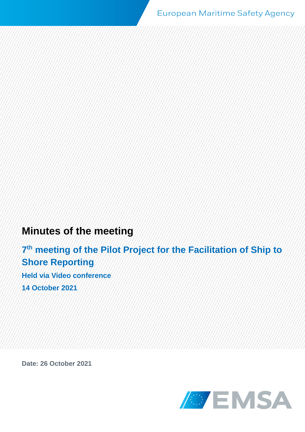# **Minutes of the meeting**

**7 th meeting of the Pilot Project for the Facilitation of Ship to Shore Reporting Held via Video conference**

**14 October 2021**

**Date: 26 October 2021**

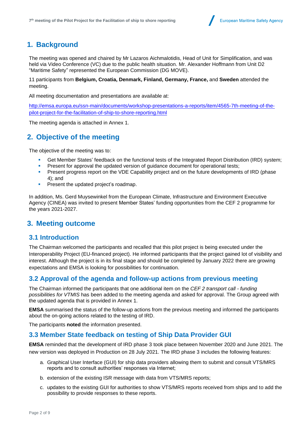

## **1. Background**

The meeting was opened and chaired by Mr Lazaros Aichmalotidis, Head of Unit for Simplification, and was held via Video Conference (VC) due to the public health situation. Mr. Alexander Hoffmann from Unit D2 "Maritime Safety" represented the European Commission (DG MOVE).

11 participants from **Belgium, Croatia, Denmark, Finland, Germany, France,** and **Sweden** attended the meeting.

All meeting documentation and presentations are available at:

[http://emsa.europa.eu/ssn-main/documents/workshop-presentations-a-reports/item/4565-7th-meeting-of-the](http://emsa.europa.eu/ssn-main/documents/workshop-presentations-a-reports/item/4565-7th-meeting-of-the-pilot-project-for-the-facilitation-of-ship-to-shore-reporting.html)[pilot-project-for-the-facilitation-of-ship-to-shore-reporting.html](http://emsa.europa.eu/ssn-main/documents/workshop-presentations-a-reports/item/4565-7th-meeting-of-the-pilot-project-for-the-facilitation-of-ship-to-shore-reporting.html)

The meeting agenda is attached in Annex 1.

## **2. Objective of the meeting**

The objective of the meeting was to:

- Get Member States' feedback on the functional tests of the Integrated Report Distribution (IRD) system;
- Present for approval the updated version of quidance document for operational tests;
- **•** Present progress report on the VDE Capability project and on the future developments of IRD (phase 4); and
- **•** Present the updated project's roadmap.

In addition, Ms. Gerd Muysewinkel from the European Climate, Infrastructure and Environment Executive Agency (CINEA) was invited to present Member States' funding opportunities from the CEF 2 programme for the years 2021-2027.

#### **3. Meeting outcome**

#### **3.1 Introduction**

The Chairman welcomed the participants and recalled that this pilot project is being executed under the Interoperability Project (EU-financed project). He informed participants that the project gained lot of visibility and interest. Although the project is in its final stage and should be completed by January 2022 there are growing expectations and EMSA is looking for possibilities for continuation.

#### **3.2 Approval of the agenda and follow-up actions from previous meeting**

The Chairman informed the participants that one additional item on the *CEF 2 transport call - funding possibilities for VTMIS* has been added to the meeting agenda and asked for approval. The Group agreed with the updated agenda that is provided in Annex 1.

**EMSA** summarised the status of the follow-up actions from the previous meeting and informed the participants about the on-going actions related to the testing of IRD.

The participants **noted** the information presented.

#### **3.3 Member State feedback on testing of Ship Data Provider GUI**

**EMSA** reminded that the development of IRD phase 3 took place between November 2020 and June 2021. The new version was deployed in Production on 28 July 2021. The IRD phase 3 includes the following features:

- a. Graphical User Interface (GUI) for ship data providers allowing them to submit and consult VTS/MRS reports and to consult authorities' responses via Internet;
- b. extension of the existing ISR message with data from VTS/MRS reports;
- c. updates to the existing GUI for authorities to show VTS/MRS reports received from ships and to add the possibility to provide responses to these reports.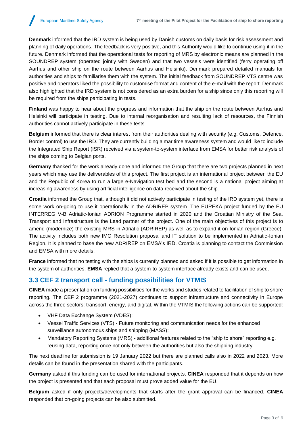**Denmark** informed that the IRD system is being used by Danish customs on daily basis for risk assessment and planning of daily operations. The feedback is very positive, and this Authority would like to continue using it in the future. Denmark informed that the operational tests for reporting of MRS by electronic means are planned in the SOUNDREP system (operated jointly with Sweden) and that two vessels were identified (ferry operating off Aarhus and other ship on the route between Aarhus and Helsinki). Denmark prepared detailed manuals for authorities and ships to familiarise them with the system. The initial feedback from SOUNDREP VTS centre was positive and operators liked the possibility to customise format and content of the e-mail with the report. Denmark also highlighted that the IRD system is not considered as an extra burden for a ship since only this reporting will be required from the ships participating in tests.

**Finland** was happy to hear about the progress and information that the ship on the route between Aarhus and Helsinki will participate in testing. Due to internal reorganisation and resulting lack of resources, the Finnish authorities cannot actively participate in these tests.

**Belgium** informed that there is clear interest from their authorities dealing with security (e.g. Customs, Defence, Border control) to use the IRD. They are currently building a maritime awareness system and would like to include the Integrated Ship Report (ISR) received via a system-to-system interface from EMSA for better risk analysis of the ships coming to Belgian ports.

**Germany** thanked for the work already done and informed the Group that there are two projects planned in next years which may use the deliverables of this project. The first project is an international project between the EU and the Republic of Korea to run a large e-Navigation test bed and the second is a national project aiming at increasing awareness by using artificial intelligence on data received about the ship.

**Croatia** informed the Group that, although it did not actively participate in testing of the IRD system yet, there is some work on-going to use it operationally in the ADRIREP system. The EUREKA project funded by the EU INTERREG V-B Adriatic-Ionian ADRION Programme started in 2020 and the Croatian Ministry of the Sea, Transport and Infrastructure is the Lead partner of the project. One of the main objectives of this project is to amend (modernize) the existing MRS in Adriatic (ADRIREP) as well as to expand it on Ionian region (Greece). The activity includes both new IMO Resolution proposal and IT solution to be implemented in Adriatic-Ionian Region. It is planned to base the new ADRIREP on EMSA's IRD. Croatia is planning to contact the Commission and EMSA with more details.

**France** informed that no testing with the ships is currently planned and asked if it is possible to get information in the system of authorities. **EMSA** replied that a system-to-system interface already exists and can be used.

#### **3.3 CEF 2 transport call - funding possibilities for VTMIS**

**CINEA** made a presentation on funding possibilities for the works and studies related to facilitation of ship to shore reporting. The CEF 2 programme (2021-2027) continues to support infrastructure and connectivity in Europe across the three sectors: transport, energy, and digital. Within the VTMIS the following actions can be supported:

- VHF Data Exchange System (VDES);
- Vessel Traffic Services (VTS) Future monitoring and communication needs for the enhanced surveillance autonomous ships and shipping (MASS);
- Mandatory Reporting Systems (MRS) additional features related to the "ship to shore" reporting e.g. reusing data, reporting once not only between the authorities but also the shipping industry.

The next deadline for submission is 19 January 2022 but there are planned calls also in 2022 and 2023. More details can be found in the presentation shared with the participants.

**Germany** asked if this funding can be used for international projects. **CINEA** responded that it depends on how the project is presented and that each proposal must prove added value for the EU.

**Belgium** asked if only projects/developments that starts after the grant approval can be financed. **CINEA** responded that on-going projects can be also submitted.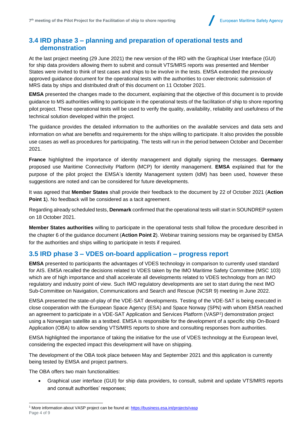#### **3.4 IRD phase 3 – planning and preparation of operational tests and demonstration**

At the last project meeting (29 June 2021) the new version of the IRD with the Graphical User Interface (GUI) for ship data providers allowing them to submit and consult VTS/MRS reports was presented and Member States were invited to think of test cases and ships to be involve in the tests. EMSA extended the previously approved guidance document for the operational tests with the authorities to cover electronic submission of MRS data by ships and distributed draft of this document on 11 October 2021.

**EMSA** presented the changes made to the document, explaining that the objective of this document is to provide guidance to MS authorities willing to participate in the operational tests of the facilitation of ship to shore reporting pilot project. These operational tests will be used to verify the quality, availability, reliability and usefulness of the technical solution developed within the project.

The guidance provides the detailed information to the authorities on the available services and data sets and information on what are benefits and requirements for the ships willing to participate. It also provides the possible use cases as well as procedures for participating. The tests will run in the period between October and December 2021.

**France** highlighted the importance of identity management and digitally signing the messages. **Germany** proposed use Maritime Connectivity Platform (MCP) for identity management. **EMSA** explained that for the purpose of the pilot project the EMSA's Identity Management system (IdM) has been used, however these suggestions are noted and can be considered for future developments.

It was agreed that **Member States** shall provide their feedback to the document by 22 of October 2021 (**Action Point 1**). No feedback will be considered as a tacit agreement.

Regarding already scheduled tests, **Denmark** confirmed that the operational tests will start in SOUNDREP system on 18 October 2021.

**Member States authorities** willing to participate in the operational tests shall follow the procedure described in the chapter 6 of the guidance document (**Action Point 2**). Webinar training sessions may be organised by EMSA for the authorities and ships willing to participate in tests if required.

#### **3.5 IRD phase 3 – VDES on-board application – progress report**

**EMSA** presented to participants the advantages of VDES technology in comparison to currently used standard for AIS. EMSA recalled the decisions related to VDES taken by the IMO Maritime Safety Committee (MSC 103) which are of high importance and shall accelerate all developments related to VDES technology from an IMO regulatory and industry point of view. Such IMO regulatory developments are set to start during the next IMO Sub-Committee on Navigation, Communications and Search and Rescue (NCSR 9) meeting in June 2022.

EMSA presented the state-of-play of the VDE-SAT developments. Testing of the VDE-SAT is being executed in close cooperation with the European Space Agency (ESA) and Space Norway (SPN) with whom EMSA reached an agreement to participate in a VDE-SAT Application and Services Platform (VASP<sup>1</sup> ) demonstration project using a Norwegian satellite as a testbed. EMSA is responsible for the development of a specific ship On-Board Application (OBA) to allow sending VTS/MRS reports to shore and consulting responses from authorities.

EMSA highlighted the importance of taking the initiative for the use of VDES technology at the European level, considering the expected impact this development will have on shipping.

The development of the OBA took place between May and September 2021 and this application is currently being tested by EMSA and project partners.

The OBA offers two main functionalities:

• Graphical user interface (GUI) for ship data providers, to consult, submit and update VTS/MRS reports and consult authorities' responses;

Page 4 of 9 <sup>1</sup> More information about VASP project can be found at[: https://business.esa.int/projects/vasp](https://business.esa.int/projects/vasp)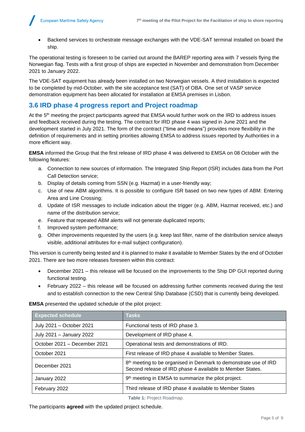- European Maritime Safety Agency
	- Backend services to orchestrate message exchanges with the VDE-SAT terminal installed on board the ship.

The operational testing is foreseen to be carried out around the BAREP reporting area with 7 vessels flying the Norwegian flag. Tests with a first group of ships are expected in November and demonstration from December 2021 to January 2022.

The VDE-SAT equipment has already been installed on two Norwegian vessels. A third installation is expected to be completed by mid-October, with the site acceptance test (SAT) of OBA. One set of VASP service demonstration equipment has been allocated for installation at EMSA premises in Lisbon.

### **3.6 IRD phase 4 progress report and Project roadmap**

At the 5<sup>th</sup> meeting the project participants agreed that EMSA would further work on the IRD to address issues and feedback received during the testing. The contract for IRD phase 4 was signed in June 2021 and the development started in July 2021. The form of the contract ("time and means") provides more flexibility in the definition of requirements and in setting priorities allowing EMSA to address issues reported by Authorities in a more efficient way.

**EMSA** informed the Group that the first release of IRD phase 4 was delivered to EMSA on 08 October with the following features:

- a. Connection to new sources of information. The Integrated Ship Report (ISR) includes data from the Port Call Detection service;
- b. Display of details coming from SSN (e.g. Hazmat) in a user-friendly way;
- c. Use of new ABM algorithms. It is possible to configure ISR based on two new types of ABM: Entering Area and Line Crossing;
- d. Update of ISR messages to include indication about the trigger (e.g. ABM, Hazmat received, etc.) and name of the distribution service;
- e. Feature that repeated ABM alerts will not generate duplicated reports;
- f. Improved system performance;
- g. Other improvements requested by the users (e.g. keep last filter, name of the distribution service always visible, additional attributes for e-mail subject configuration).

This version is currently being tested and it is planned to make it available to Member States by the end of October 2021. There are two more releases foreseen within this contract:

- December 2021 this release will be focused on the improvements to the Ship DP GUI reported during functional testing.
- February 2022 this release will be focused on addressing further comments received during the test and to establish connection to the new Central Ship Database (CSD) that is currently being developed.

**EMSA** presented the updated schedule of the pilot project:

| <b>Expected schedule</b>     | <b>Tasks</b>                                                                                                                              |  |
|------------------------------|-------------------------------------------------------------------------------------------------------------------------------------------|--|
| July 2021 - October 2021     | Functional tests of IRD phase 3.                                                                                                          |  |
| July 2021 - January 2022     | Development of IRD phase 4.                                                                                                               |  |
| October 2021 - December 2021 | Operational tests and demonstrations of IRD.                                                                                              |  |
| October 2021                 | First release of IRD phase 4 available to Member States.                                                                                  |  |
| December 2021                | 8 <sup>th</sup> meeting to be organised in Denmark to demonstrate use of IRD<br>Second release of IRD phase 4 available to Member States. |  |
| January 2022                 | 9 <sup>th</sup> meeting in EMSA to summarize the pilot project.                                                                           |  |
| February 2022                | Third release of IRD phase 4 available to Member States                                                                                   |  |

**Table 1:** Project Roadmap.

The participants **agreed** with the updated project schedule.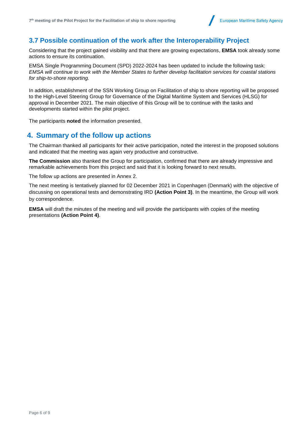## **3.7 Possible continuation of the work after the Interoperability Project**

Considering that the project gained visibility and that there are growing expectations, **EMSA** took already some actions to ensure its continuation.

EMSA Single Programming Document (SPD) 2022-2024 has been updated to include the following task: *EMSA will continue to work with the Member States to further develop facilitation services for coastal stations for ship-to-shore reporting.*

In addition, establishment of the SSN Working Group on Facilitation of ship to shore reporting will be proposed to the High-Level Steering Group for Governance of the Digital Maritime System and Services (HLSG) for approval in December 2021. The main objective of this Group will be to continue with the tasks and developments started within the pilot project.

The participants **noted** the information presented.

## **4. Summary of the follow up actions**

The Chairman thanked all participants for their active participation, noted the interest in the proposed solutions and indicated that the meeting was again very productive and constructive.

**The Commission** also thanked the Group for participation, confirmed that there are already impressive and remarkable achievements from this project and said that it is looking forward to next results.

The follow up actions are presented in Annex 2.

The next meeting is tentatively planned for 02 December 2021 in Copenhagen (Denmark) with the objective of discussing on operational tests and demonstrating IRD **(Action Point 3)**. In the meantime, the Group will work by correspondence.

**EMSA** will draft the minutes of the meeting and will provide the participants with copies of the meeting presentations **(Action Point 4)**.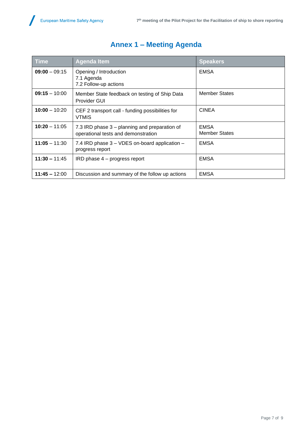$\overline{\phantom{a}}$ 

| <b>Time</b>     | <b>Agenda Item</b>                                                                   | <b>Speakers</b>                     |
|-----------------|--------------------------------------------------------------------------------------|-------------------------------------|
| $09:00 - 09:15$ | Opening / Introduction<br>7.1 Agenda<br>7.2 Follow-up actions                        | <b>EMSA</b>                         |
| $09:15 - 10:00$ | Member State feedback on testing of Ship Data<br>Provider GUI                        | <b>Member States</b>                |
| $10:00 - 10:20$ | CEF 2 transport call - funding possibilities for<br><b>VTMIS</b>                     | <b>CINEA</b>                        |
| $10:20 - 11:05$ | 7.3 IRD phase 3 – planning and preparation of<br>operational tests and demonstration | <b>EMSA</b><br><b>Member States</b> |
| $11:05 - 11:30$ | 7.4 IRD phase 3 - VDES on-board application -<br>progress report                     | <b>EMSA</b>                         |
| $11:30 - 11:45$ | IRD phase 4 – progress report                                                        | <b>EMSA</b>                         |
| $11:45 - 12:00$ | Discussion and summary of the follow up actions                                      | <b>EMSA</b>                         |

## **Annex 1 – Meeting Agenda**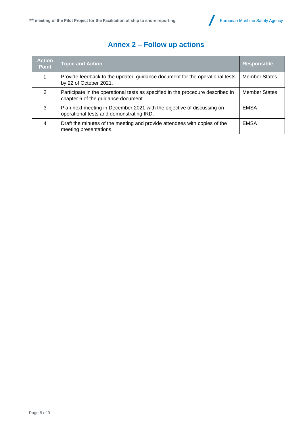



## **Annex 2 – Follow up actions**